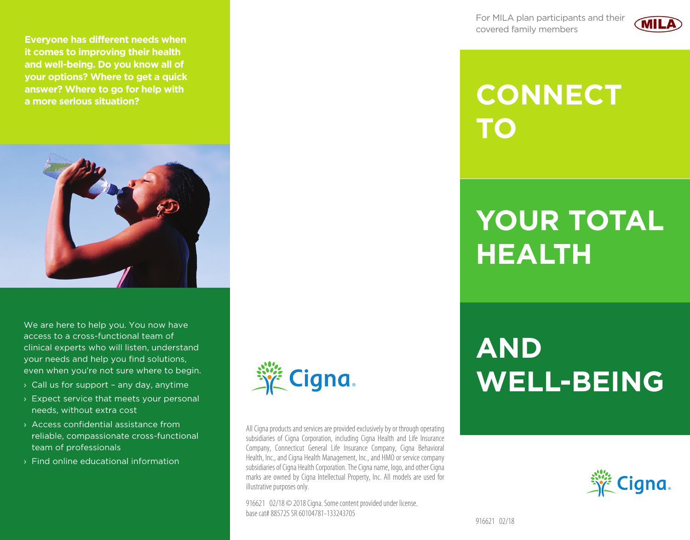For MILA plan participants and their covered family members



### **CONNECT** TO

## **YOUR TOTAL HEALTH**

# **AND WELL-BEING**





**Everyone has different needs when** it comes to improving their health and well-being. Do you know all of your options? Where to get a quick

answer? Where to go for help with

a more serious situation?

We are here to help you. You now have access to a cross-functional team of clinical experts who will listen, understand your needs and help you find solutions, even when you're not sure where to begin.

- > Call us for support any day, anytime
- > Expect service that meets your personal needs, without extra cost
- > Access confidential assistance from reliable, compassionate cross-functional team of professionals
- > Find online educational information



All Cigna products and services are provided exclusively by or through operating subsidiaries of Cigna Corporation, including Cigna Health and Life Insurance Company, Connecticut General Life Insurance Company, Cigna Behavioral Health, Inc., and Cigna Health Management, Inc., and HMO or service company subsidiaries of Cigna Health Corporation. The Cigna name, logo, and other Cigna marks are owned by Cigna Intellectual Property, Inc. All models are used for illustrative purposes only.

916621 02/18 © 2018 Cigna. Some content provided under license. hase cat# 885725 SR 60104781-133243705